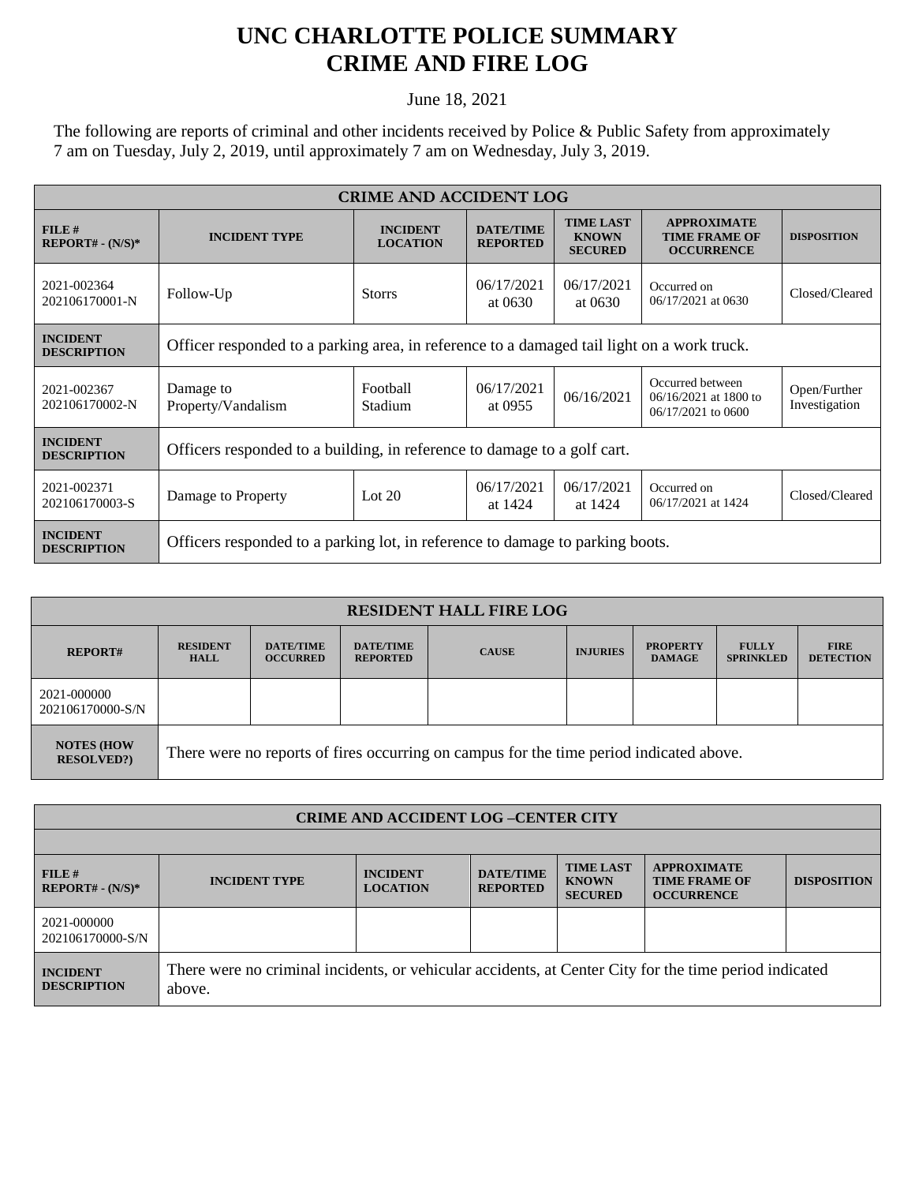## **UNC CHARLOTTE POLICE SUMMARY CRIME AND FIRE LOG**

June 18, 2021

The following are reports of criminal and other incidents received by Police & Public Safety from approximately 7 am on Tuesday, July 2, 2019, until approximately 7 am on Wednesday, July 3, 2019.

| <b>CRIME AND ACCIDENT LOG</b>         |                                                                                            |                                    |                                     |                                                    |                                                                 |                               |  |  |
|---------------------------------------|--------------------------------------------------------------------------------------------|------------------------------------|-------------------------------------|----------------------------------------------------|-----------------------------------------------------------------|-------------------------------|--|--|
| FILE#<br>$REPORT# - (N/S)*$           | <b>INCIDENT TYPE</b>                                                                       | <b>INCIDENT</b><br><b>LOCATION</b> | <b>DATE/TIME</b><br><b>REPORTED</b> | <b>TIME LAST</b><br><b>KNOWN</b><br><b>SECURED</b> | <b>APPROXIMATE</b><br><b>TIME FRAME OF</b><br><b>OCCURRENCE</b> | <b>DISPOSITION</b>            |  |  |
| 2021-002364<br>202106170001-N         | Follow-Up                                                                                  | <b>Storrs</b>                      | 06/17/2021<br>at 0630               | 06/17/2021<br>at 0630                              | Occurred on<br>06/17/2021 at 0630                               | Closed/Cleared                |  |  |
| <b>INCIDENT</b><br><b>DESCRIPTION</b> | Officer responded to a parking area, in reference to a damaged tail light on a work truck. |                                    |                                     |                                                    |                                                                 |                               |  |  |
| 2021-002367<br>202106170002-N         | Damage to<br>Property/Vandalism                                                            | Football<br>Stadium                | 06/17/2021<br>at 0955               | 06/16/2021                                         | Occurred between<br>06/16/2021 at 1800 to<br>06/17/2021 to 0600 | Open/Further<br>Investigation |  |  |
| <b>INCIDENT</b><br><b>DESCRIPTION</b> | Officers responded to a building, in reference to damage to a golf cart.                   |                                    |                                     |                                                    |                                                                 |                               |  |  |
| 2021-002371<br>202106170003-S         | Damage to Property                                                                         | Lot $20$                           | 06/17/2021<br>at 1424               | 06/17/2021<br>at 1424                              | Occurred on<br>06/17/2021 at 1424                               | Closed/Cleared                |  |  |
| <b>INCIDENT</b><br><b>DESCRIPTION</b> | Officers responded to a parking lot, in reference to damage to parking boots.              |                                    |                                     |                                                    |                                                                 |                               |  |  |

| <b>RESIDENT HALL FIRE LOG</b>          |                                                                                         |                                     |                                     |              |                 |                                  |                                  |                                 |
|----------------------------------------|-----------------------------------------------------------------------------------------|-------------------------------------|-------------------------------------|--------------|-----------------|----------------------------------|----------------------------------|---------------------------------|
| <b>REPORT#</b>                         | <b>RESIDENT</b><br><b>HALL</b>                                                          | <b>DATE/TIME</b><br><b>OCCURRED</b> | <b>DATE/TIME</b><br><b>REPORTED</b> | <b>CAUSE</b> | <b>INJURIES</b> | <b>PROPERTY</b><br><b>DAMAGE</b> | <b>FULLY</b><br><b>SPRINKLED</b> | <b>FIRE</b><br><b>DETECTION</b> |
| 2021-000000<br>202106170000-S/N        |                                                                                         |                                     |                                     |              |                 |                                  |                                  |                                 |
| <b>NOTES (HOW</b><br><b>RESOLVED?)</b> | There were no reports of fires occurring on campus for the time period indicated above. |                                     |                                     |              |                 |                                  |                                  |                                 |

| <b>CRIME AND ACCIDENT LOG-CENTER CITY</b> |                                                                                                                  |                                    |                                     |                                                    |                                                                 |                    |
|-------------------------------------------|------------------------------------------------------------------------------------------------------------------|------------------------------------|-------------------------------------|----------------------------------------------------|-----------------------------------------------------------------|--------------------|
|                                           |                                                                                                                  |                                    |                                     |                                                    |                                                                 |                    |
| FILE H<br>$REPORT# - (N/S)*$              | <b>INCIDENT TYPE</b>                                                                                             | <b>INCIDENT</b><br><b>LOCATION</b> | <b>DATE/TIME</b><br><b>REPORTED</b> | <b>TIME LAST</b><br><b>KNOWN</b><br><b>SECURED</b> | <b>APPROXIMATE</b><br><b>TIME FRAME OF</b><br><b>OCCURRENCE</b> | <b>DISPOSITION</b> |
| 2021-000000<br>202106170000-S/N           |                                                                                                                  |                                    |                                     |                                                    |                                                                 |                    |
| <b>INCIDENT</b><br><b>DESCRIPTION</b>     | There were no criminal incidents, or vehicular accidents, at Center City for the time period indicated<br>above. |                                    |                                     |                                                    |                                                                 |                    |